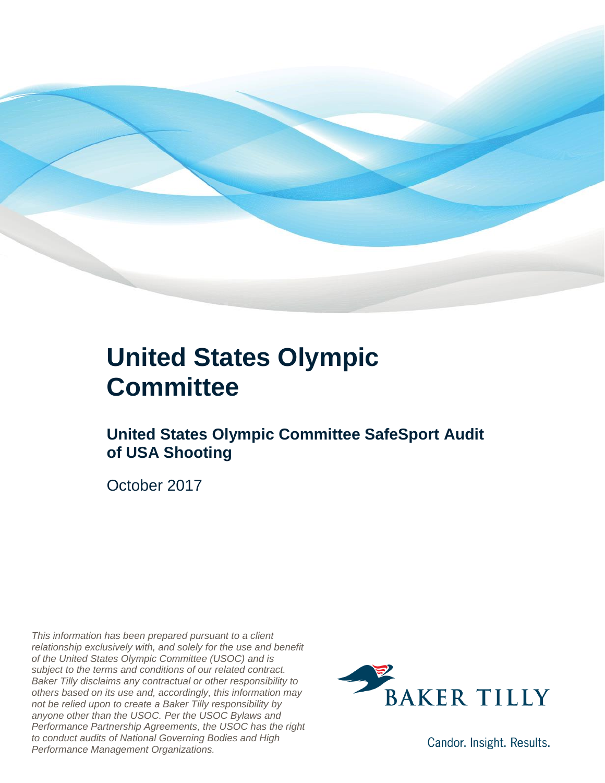

#### **United States Olympic Committee**

#### **United States Olympic Committee SafeSport Audit of USA Shooting**

October 2017

*This information has been prepared pursuant to a client relationship exclusively with, and solely for the use and benefit of the United States Olympic Committee (USOC) and is subject to the terms and conditions of our related contract. Baker Tilly disclaims any contractual or other responsibility to others based on its use and, accordingly, this information may not be relied upon to create a Baker Tilly responsibility by anyone other than the USOC. Per the USOC Bylaws and Performance Partnership Agreements, the USOC has the right to conduct audits of National Governing Bodies and High Performance Management Organizations.*



Candor. Insight. Results.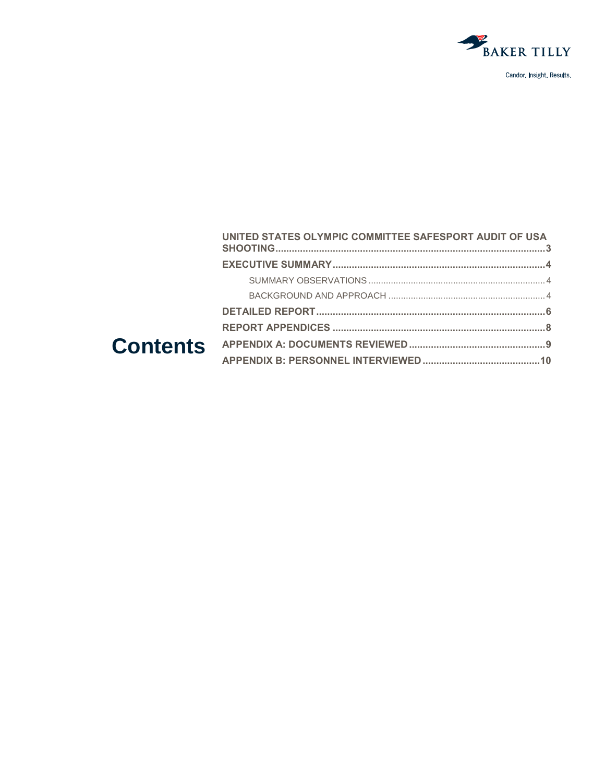

|  | UNITED STATES OLYMPIC COMMITTEE SAFESPORT AUDIT OF USA |  |
|--|--------------------------------------------------------|--|
|  |                                                        |  |
|  |                                                        |  |
|  |                                                        |  |
|  |                                                        |  |
|  |                                                        |  |
|  |                                                        |  |
|  |                                                        |  |
|  |                                                        |  |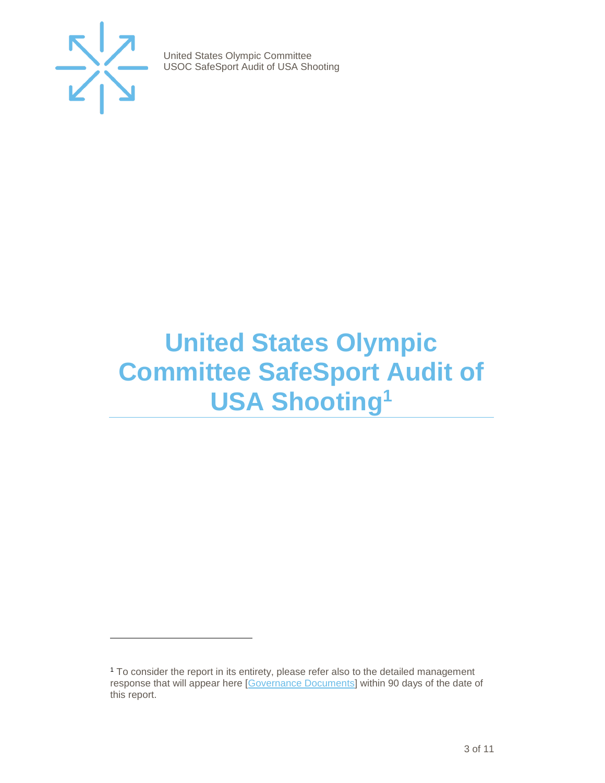

 $\overline{a}$ 

United States Olympic Committee USOC SafeSport Audit of USA Shooting

### <span id="page-2-0"></span>**United States Olympic Committee SafeSport Audit of USA Shooting<sup>1</sup>**

<sup>1</sup> To consider the report in its entirety, please refer also to the detailed management response that will appear here [\[Governance Documents\]](https://www.teamusa.org/Footer/Legal/Governance-Documents) within 90 days of the date of this report.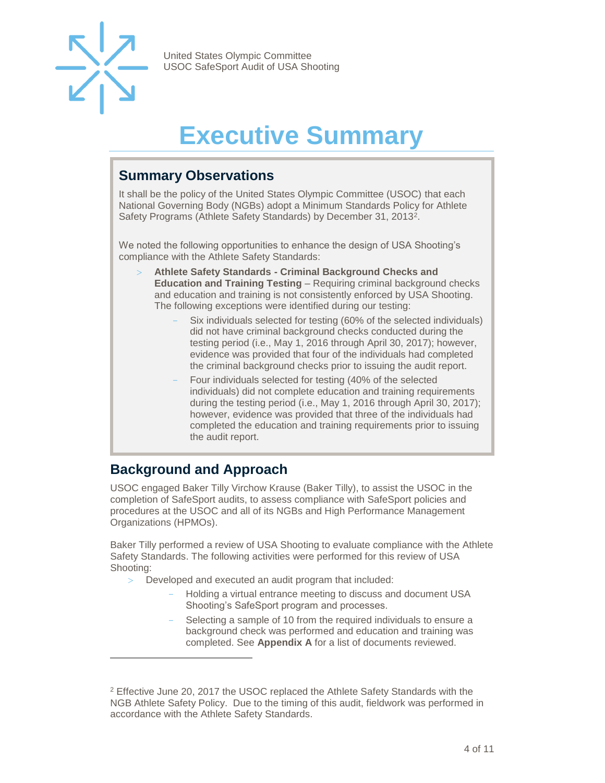

## **Executive Summary**

#### <span id="page-3-1"></span><span id="page-3-0"></span>**Summary Observations**

It shall be the policy of the United States Olympic Committee (USOC) that each National Governing Body (NGBs) adopt a Minimum Standards Policy for Athlete Safety Programs (Athlete Safety Standards) by December 31, 2013<sup>2</sup>.

We noted the following opportunities to enhance the design of USA Shooting's compliance with the Athlete Safety Standards:

- **Athlete Safety Standards - Criminal Background Checks and Education and Training Testing** – Requiring criminal background checks and education and training is not consistently enforced by USA Shooting. The following exceptions were identified during our testing:
	- Six individuals selected for testing (60% of the selected individuals) did not have criminal background checks conducted during the testing period (i.e., May 1, 2016 through April 30, 2017); however, evidence was provided that four of the individuals had completed the criminal background checks prior to issuing the audit report.
	- Four individuals selected for testing (40% of the selected individuals) did not complete education and training requirements during the testing period (i.e., May 1, 2016 through April 30, 2017); however, evidence was provided that three of the individuals had completed the education and training requirements prior to issuing the audit report.

#### <span id="page-3-2"></span>**Background and Approach**

l

USOC engaged Baker Tilly Virchow Krause (Baker Tilly), to assist the USOC in the completion of SafeSport audits, to assess compliance with SafeSport policies and procedures at the USOC and all of its NGBs and High Performance Management Organizations (HPMOs).

Baker Tilly performed a review of USA Shooting to evaluate compliance with the Athlete Safety Standards. The following activities were performed for this review of USA Shooting:

- Developed and executed an audit program that included:
	- Holding a virtual entrance meeting to discuss and document USA Shooting's SafeSport program and processes.
	- Selecting a sample of 10 from the required individuals to ensure a background check was performed and education and training was completed. See **Appendix A** for a list of documents reviewed.

<sup>2</sup> Effective June 20, 2017 the USOC replaced the Athlete Safety Standards with the NGB Athlete Safety Policy. Due to the timing of this audit, fieldwork was performed in accordance with the Athlete Safety Standards.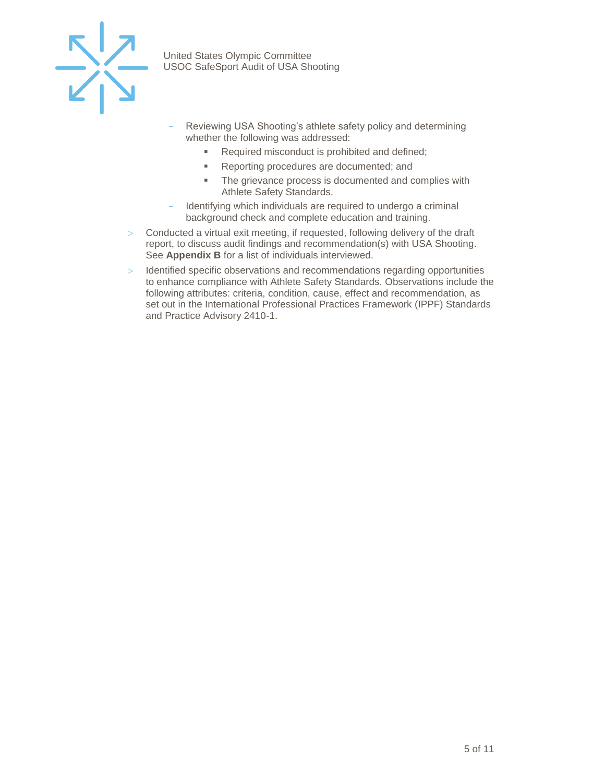

- Reviewing USA Shooting's athlete safety policy and determining whether the following was addressed:
	- Required misconduct is prohibited and defined;
	- Reporting procedures are documented; and
	- The grievance process is documented and complies with Athlete Safety Standards.
- Identifying which individuals are required to undergo a criminal background check and complete education and training.
- Conducted a virtual exit meeting, if requested, following delivery of the draft report, to discuss audit findings and recommendation(s) with USA Shooting. See **Appendix B** for a list of individuals interviewed.
- > Identified specific observations and recommendations regarding opportunities to enhance compliance with Athlete Safety Standards. Observations include the following attributes: criteria, condition, cause, effect and recommendation, as set out in the International Professional Practices Framework (IPPF) Standards and Practice Advisory 2410-1.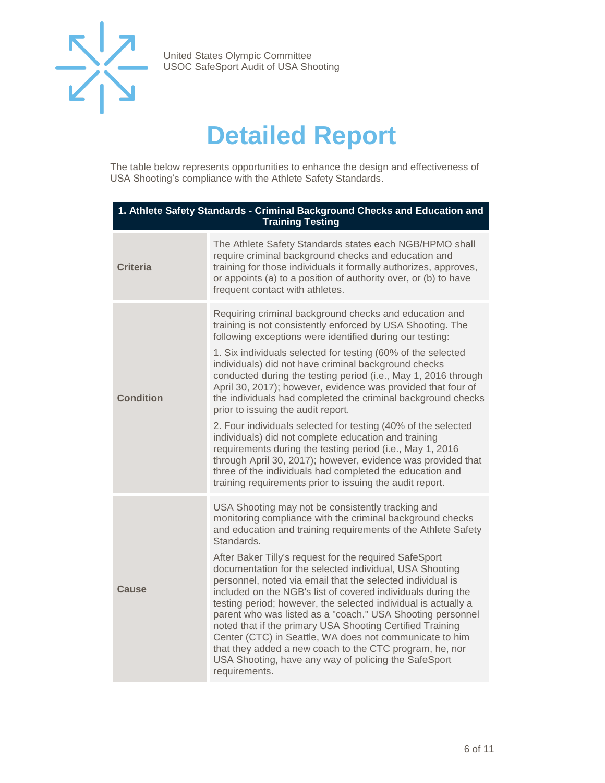

### **Detailed Report**

<span id="page-5-0"></span>The table below represents opportunities to enhance the design and effectiveness of USA Shooting's compliance with the Athlete Safety Standards.

| 1. Athlete Safety Standards - Criminal Background Checks and Education and<br><b>Training Testing</b> |                                                                                                                                                                                                                                                                                                                                                                                                                                                                                                                                                                                                                                                                                                                                                                                                                                                                                                                                |  |
|-------------------------------------------------------------------------------------------------------|--------------------------------------------------------------------------------------------------------------------------------------------------------------------------------------------------------------------------------------------------------------------------------------------------------------------------------------------------------------------------------------------------------------------------------------------------------------------------------------------------------------------------------------------------------------------------------------------------------------------------------------------------------------------------------------------------------------------------------------------------------------------------------------------------------------------------------------------------------------------------------------------------------------------------------|--|
| <b>Criteria</b>                                                                                       | The Athlete Safety Standards states each NGB/HPMO shall<br>require criminal background checks and education and<br>training for those individuals it formally authorizes, approves,<br>or appoints (a) to a position of authority over, or (b) to have<br>frequent contact with athletes.                                                                                                                                                                                                                                                                                                                                                                                                                                                                                                                                                                                                                                      |  |
| <b>Condition</b>                                                                                      | Requiring criminal background checks and education and<br>training is not consistently enforced by USA Shooting. The<br>following exceptions were identified during our testing:<br>1. Six individuals selected for testing (60% of the selected<br>individuals) did not have criminal background checks<br>conducted during the testing period (i.e., May 1, 2016 through<br>April 30, 2017); however, evidence was provided that four of<br>the individuals had completed the criminal background checks<br>prior to issuing the audit report.<br>2. Four individuals selected for testing (40% of the selected<br>individuals) did not complete education and training<br>requirements during the testing period (i.e., May 1, 2016<br>through April 30, 2017); however, evidence was provided that<br>three of the individuals had completed the education and<br>training requirements prior to issuing the audit report. |  |
| Cause                                                                                                 | USA Shooting may not be consistently tracking and<br>monitoring compliance with the criminal background checks<br>and education and training requirements of the Athlete Safety<br>Standards.<br>After Baker Tilly's request for the required SafeSport<br>documentation for the selected individual, USA Shooting<br>personnel, noted via email that the selected individual is<br>included on the NGB's list of covered individuals during the<br>testing period; however, the selected individual is actually a<br>parent who was listed as a "coach." USA Shooting personnel<br>noted that if the primary USA Shooting Certified Training<br>Center (CTC) in Seattle, WA does not communicate to him<br>that they added a new coach to the CTC program, he, nor<br>USA Shooting, have any way of policing the SafeSport<br>requirements.                                                                                   |  |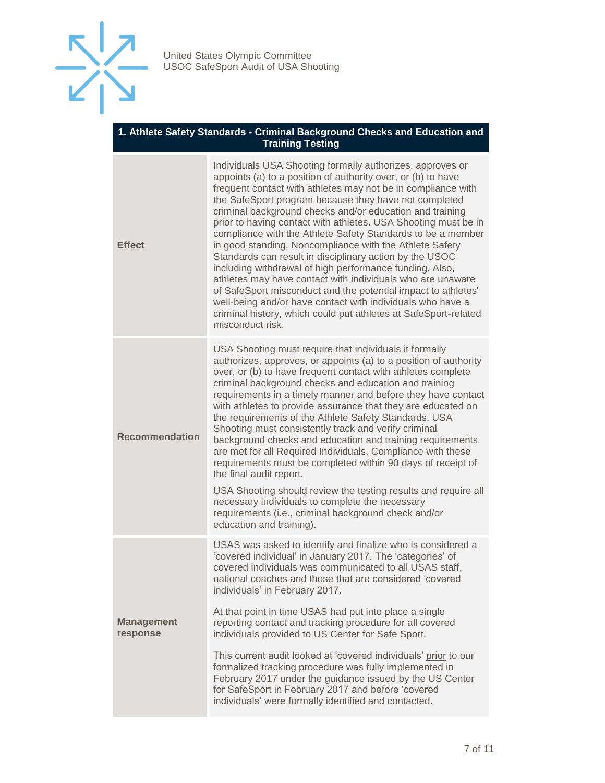

#### **1. Athlete Safety Standards - Criminal Background Checks and Education and Training Testing**

| <b>Effect</b>                 | Individuals USA Shooting formally authorizes, approves or<br>appoints (a) to a position of authority over, or (b) to have<br>frequent contact with athletes may not be in compliance with<br>the SafeSport program because they have not completed<br>criminal background checks and/or education and training<br>prior to having contact with athletes. USA Shooting must be in<br>compliance with the Athlete Safety Standards to be a member<br>in good standing. Noncompliance with the Athlete Safety<br>Standards can result in disciplinary action by the USOC<br>including withdrawal of high performance funding. Also,<br>athletes may have contact with individuals who are unaware<br>of SafeSport misconduct and the potential impact to athletes'<br>well-being and/or have contact with individuals who have a<br>criminal history, which could put athletes at SafeSport-related<br>misconduct risk.                |
|-------------------------------|-------------------------------------------------------------------------------------------------------------------------------------------------------------------------------------------------------------------------------------------------------------------------------------------------------------------------------------------------------------------------------------------------------------------------------------------------------------------------------------------------------------------------------------------------------------------------------------------------------------------------------------------------------------------------------------------------------------------------------------------------------------------------------------------------------------------------------------------------------------------------------------------------------------------------------------|
| <b>Recommendation</b>         | USA Shooting must require that individuals it formally<br>authorizes, approves, or appoints (a) to a position of authority<br>over, or (b) to have frequent contact with athletes complete<br>criminal background checks and education and training<br>requirements in a timely manner and before they have contact<br>with athletes to provide assurance that they are educated on<br>the requirements of the Athlete Safety Standards. USA<br>Shooting must consistently track and verify criminal<br>background checks and education and training requirements<br>are met for all Required Individuals. Compliance with these<br>requirements must be completed within 90 days of receipt of<br>the final audit report.<br>USA Shooting should review the testing results and require all<br>necessary individuals to complete the necessary<br>requirements (i.e., criminal background check and/or<br>education and training). |
| <b>Management</b><br>response | USAS was asked to identify and finalize who is considered a<br>'covered individual' in January 2017. The 'categories' of<br>covered individuals was communicated to all USAS staff,<br>national coaches and those that are considered 'covered<br>individuals' in February 2017.                                                                                                                                                                                                                                                                                                                                                                                                                                                                                                                                                                                                                                                    |
|                               | At that point in time USAS had put into place a single<br>reporting contact and tracking procedure for all covered<br>individuals provided to US Center for Safe Sport.                                                                                                                                                                                                                                                                                                                                                                                                                                                                                                                                                                                                                                                                                                                                                             |
|                               | This current audit looked at 'covered individuals' prior to our<br>formalized tracking procedure was fully implemented in<br>February 2017 under the guidance issued by the US Center<br>for SafeSport in February 2017 and before 'covered<br>individuals' were formally identified and contacted.                                                                                                                                                                                                                                                                                                                                                                                                                                                                                                                                                                                                                                 |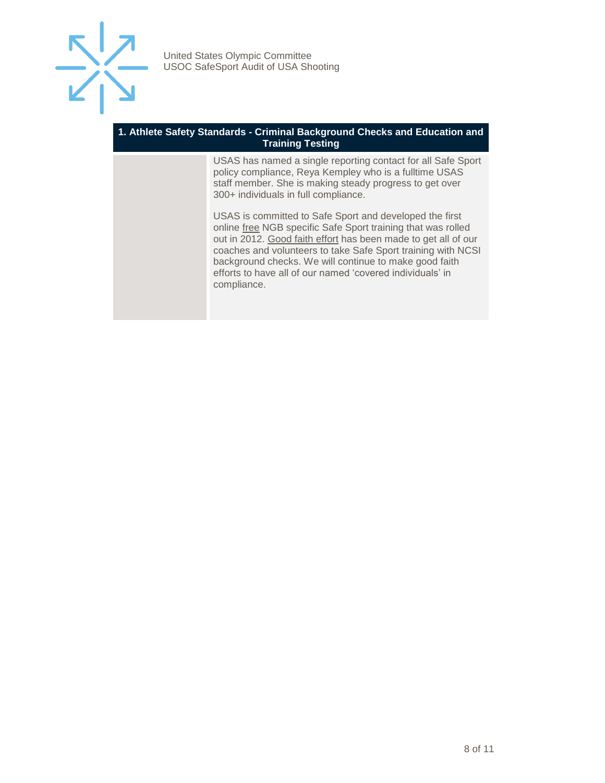

#### **1. Athlete Safety Standards - Criminal Background Checks and Education and Training Testing**

USAS has named a single reporting contact for all Safe Sport policy compliance, Reya Kempley who is a fulltime USAS staff member. She is making steady progress to get over 300+ individuals in full compliance.

USAS is committed to Safe Sport and developed the first online free NGB specific Safe Sport training that was rolled out in 2012. Good faith effort has been made to get all of our coaches and volunteers to take Safe Sport training with NCSI background checks. We will continue to make good faith efforts to have all of our named 'covered individuals' in compliance.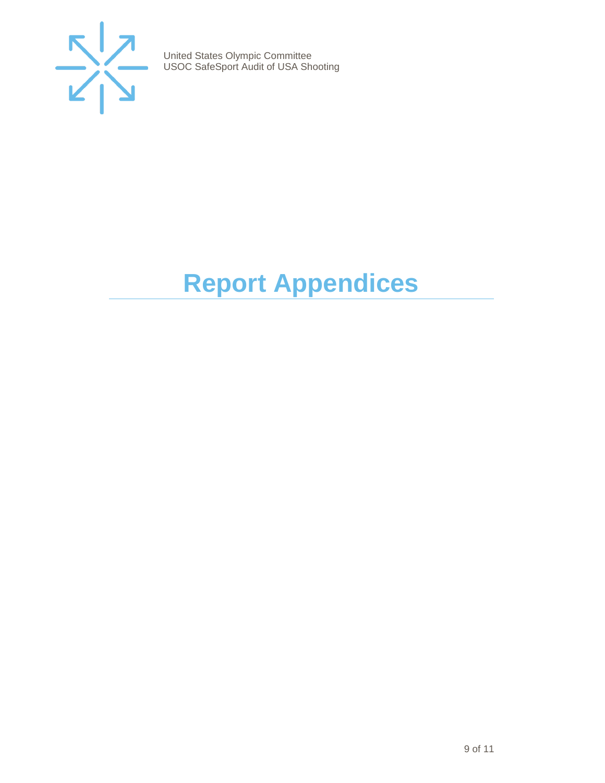

## <span id="page-8-0"></span>**Report Appendices**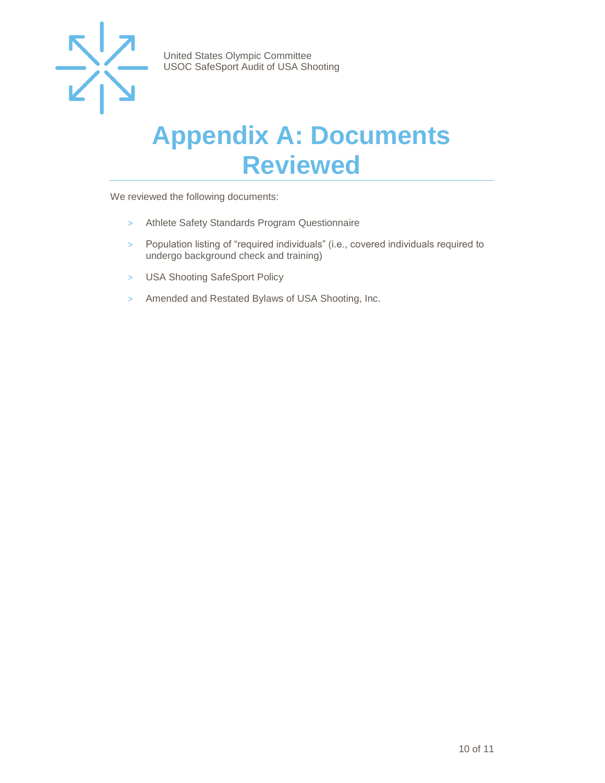

#### <span id="page-9-0"></span>**Appendix A: Documents Reviewed**

We reviewed the following documents:

- > Athlete Safety Standards Program Questionnaire
- > Population listing of "required individuals" (i.e., covered individuals required to undergo background check and training)
- > USA Shooting SafeSport Policy
- > Amended and Restated Bylaws of USA Shooting, Inc.